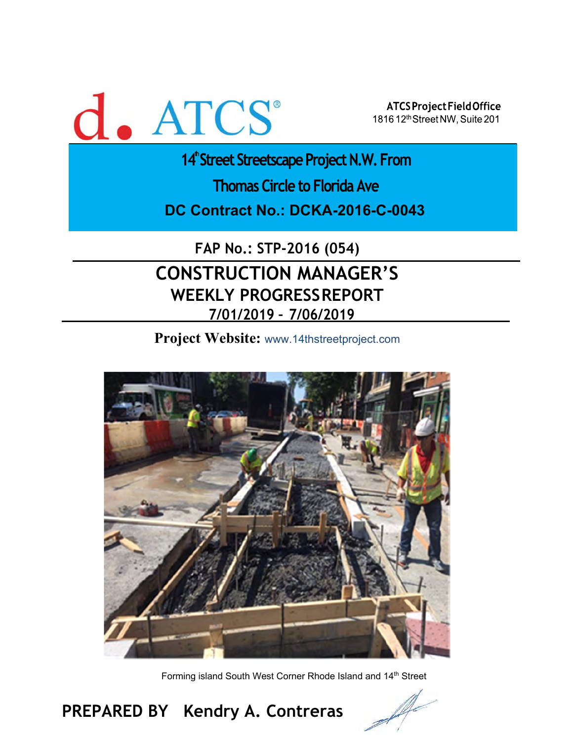

ATCS Project Field Office 1816 12th Street NW, Suite 201

14<sup>th</sup> Street Streetscape Project N.W. From

**Thomas Circle to Florida Ave** 

**DC Contract No.: DCKA-2016-C-0043** 

**FAP No.: STP-2016 (054)**

# **CONSTRUCTION MANAGER'S WEEKLY PROGRESS REPORT 7/01/2019 – 7/06/2019**

**Project Website:** www.14thstreetproject.com



Forming island South West Corner Rhode Island and 14<sup>th</sup> Street

# **PREPARED BY Kendry A. Contreras**

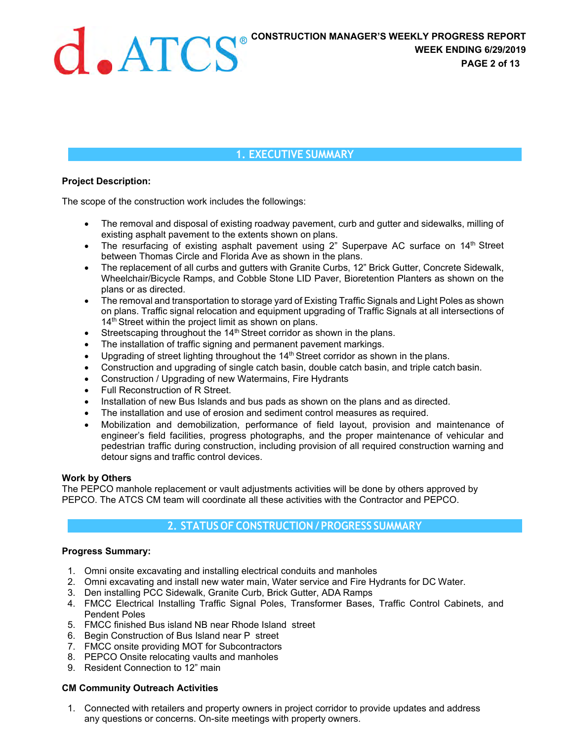## **1. EXECUTIVE SUMMARY**

#### **Project Description:**

The scope of the construction work includes the followings:

- The removal and disposal of existing roadway pavement, curb and gutter and sidewalks, milling of existing asphalt pavement to the extents shown on plans.
- The resurfacing of existing asphalt pavement using 2" Superpave AC surface on  $14<sup>th</sup>$  Street between Thomas Circle and Florida Ave as shown in the plans.
- The replacement of all curbs and gutters with Granite Curbs, 12" Brick Gutter, Concrete Sidewalk, Wheelchair/Bicycle Ramps, and Cobble Stone LID Paver, Bioretention Planters as shown on the plans or as directed.
- The removal and transportation to storage yard of Existing Traffic Signals and Light Poles as shown on plans. Traffic signal relocation and equipment upgrading of Traffic Signals at all intersections of 14<sup>th</sup> Street within the project limit as shown on plans.
- $\bullet$  Streetscaping throughout the 14<sup>th</sup> Street corridor as shown in the plans.
- The installation of traffic signing and permanent pavement markings.
- $\bullet$  Upgrading of street lighting throughout the 14<sup>th</sup> Street corridor as shown in the plans.
- Construction and upgrading of single catch basin, double catch basin, and triple catch basin.
- Construction / Upgrading of new Watermains, Fire Hydrants
- Full Reconstruction of R Street.
- Installation of new Bus Islands and bus pads as shown on the plans and as directed.
- The installation and use of erosion and sediment control measures as required.
- Mobilization and demobilization, performance of field layout, provision and maintenance of engineer's field facilities, progress photographs, and the proper maintenance of vehicular and pedestrian traffic during construction, including provision of all required construction warning and detour signs and traffic control devices.

#### **Work by Others**

The PEPCO manhole replacement or vault adjustments activities will be done by others approved by PEPCO. The ATCS CM team will coordinate all these activities with the Contractor and PEPCO.

#### **2. STATUS OF CONSTRUCTION / PROGRESS SUMMARY**

#### **Progress Summary:**

- 1. Omni onsite excavating and installing electrical conduits and manholes
- 2. Omni excavating and install new water main, Water service and Fire Hydrants for DC Water.
- 3. Den installing PCC Sidewalk, Granite Curb, Brick Gutter, ADA Ramps
- 4. FMCC Electrical Installing Traffic Signal Poles, Transformer Bases, Traffic Control Cabinets, and Pendent Poles
- 5. FMCC finished Bus island NB near Rhode Island street
- 6. Begin Construction of Bus Island near P street
- 7. FMCC onsite providing MOT for Subcontractors
- 8. PEPCO Onsite relocating vaults and manholes
- 9. Resident Connection to 12" main

#### **CM Community Outreach Activities**

1. Connected with retailers and property owners in project corridor to provide updates and address any questions or concerns. On-site meetings with property owners.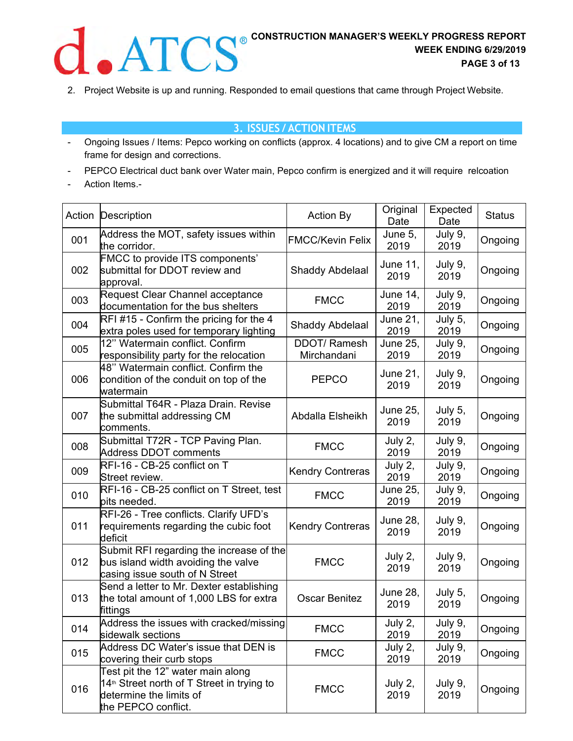

2. Project Website is up and running. Responded to email questions that came through Project Website.

### **3. ISSUES / ACTION ITEMS**

- Ongoing Issues / Items: Pepco working on conflicts (approx. 4 locations) and to give CM a report on time frame for design and corrections.
- PEPCO Electrical duct bank over Water main, Pepco confirm is energized and it will require relcoation
- Action Items.-

| Action | Description                                                                                                                                   | <b>Action By</b>                  | Original<br>Date | Expected<br>Date | <b>Status</b> |
|--------|-----------------------------------------------------------------------------------------------------------------------------------------------|-----------------------------------|------------------|------------------|---------------|
| 001    | Address the MOT, safety issues within<br>the corridor.                                                                                        | <b>FMCC/Kevin Felix</b>           | June 5,<br>2019  | July 9,<br>2019  | Ongoing       |
| 002    | <b>FMCC to provide ITS components'</b><br>submittal for DDOT review and<br>approval.                                                          | Shaddy Abdelaal                   | June 11,<br>2019 | July 9,<br>2019  | Ongoing       |
| 003    | Request Clear Channel acceptance<br>documentation for the bus shelters                                                                        | <b>FMCC</b>                       | June 14,<br>2019 | July 9,<br>2019  | Ongoing       |
| 004    | $RFI$ #15 - Confirm the pricing for the 4<br>extra poles used for temporary lighting                                                          | <b>Shaddy Abdelaal</b>            | June 21,<br>2019 | July 5,<br>2019  | Ongoing       |
| 005    | 12" Watermain conflict. Confirm<br>responsibility party for the relocation                                                                    | <b>DDOT/Ramesh</b><br>Mirchandani | June 25,<br>2019 | July 9,<br>2019  | Ongoing       |
| 006    | 48" Watermain conflict. Confirm the<br>condition of the conduit on top of the<br>watermain                                                    | <b>PEPCO</b>                      | June 21,<br>2019 | July 9,<br>2019  | Ongoing       |
| 007    | Submittal T64R - Plaza Drain. Revise<br>the submittal addressing CM<br>comments.                                                              | Abdalla Elsheikh                  | June 25,<br>2019 | July 5,<br>2019  | Ongoing       |
| 008    | Submittal T72R - TCP Paving Plan.<br><b>Address DDOT comments</b>                                                                             | <b>FMCC</b>                       | July 2,<br>2019  | July 9,<br>2019  | Ongoing       |
| 009    | RFI-16 - CB-25 conflict on T<br>Street review.                                                                                                | <b>Kendry Contreras</b>           | July 2,<br>2019  | July 9,<br>2019  | Ongoing       |
| 010    | RFI-16 - CB-25 conflict on T Street, test<br>pits needed.                                                                                     | <b>FMCC</b>                       | June 25,<br>2019 | July 9,<br>2019  | Ongoing       |
| 011    | RFI-26 - Tree conflicts. Clarify UFD's<br>requirements regarding the cubic foot<br>deficit                                                    | <b>Kendry Contreras</b>           | June 28,<br>2019 | July 9,<br>2019  | Ongoing       |
| 012    | Submit RFI regarding the increase of the<br>bus island width avoiding the valve<br>casing issue south of N Street                             | <b>FMCC</b>                       | July 2,<br>2019  | July 9,<br>2019  | Ongoing       |
| 013    | Send a letter to Mr. Dexter establishing<br>the total amount of 1,000 LBS for extra<br>fittings                                               | <b>Oscar Benitez</b>              | June 28,<br>2019 | July 5,<br>2019  | Ongoing       |
| 014    | Address the issues with cracked/missing<br>sidewalk sections                                                                                  | <b>FMCC</b>                       | July 2,<br>2019  | July 9,<br>2019  | Ongoing       |
| 015    | Address DC Water's issue that DEN is<br>covering their curb stops                                                                             | <b>FMCC</b>                       | July 2,<br>2019  | July 9,<br>2019  | Ongoing       |
| 016    | Test pit the 12" water main along<br>14 <sup>th</sup> Street north of T Street in trying to<br>determine the limits of<br>the PEPCO conflict. | <b>FMCC</b>                       | July 2,<br>2019  | July 9,<br>2019  | Ongoing       |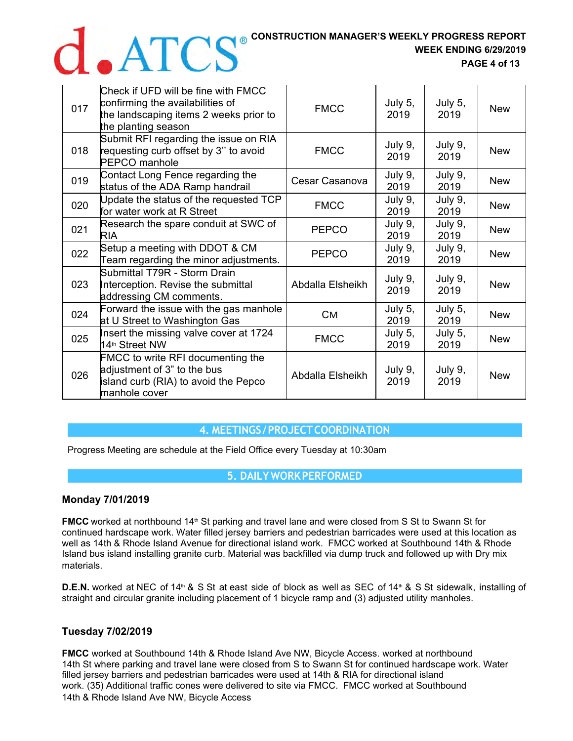## **CONSTRUCTION MANAGER'S WEEKLY PROGRESS REPORT**

**WEEK ENDING 6/29/2019** 

 **PAGE 4 of 13** 

| 017 | Check if UFD will be fine with FMCC<br>confirming the availabilities of<br>the landscaping items 2 weeks prior to<br>the planting season | <b>FMCC</b>      | July 5,<br>2019 | July 5,<br>2019 | <b>New</b> |
|-----|------------------------------------------------------------------------------------------------------------------------------------------|------------------|-----------------|-----------------|------------|
| 018 | Submit RFI regarding the issue on RIA<br>requesting curb offset by 3" to avoid<br><b>PEPCO</b> manhole                                   | <b>FMCC</b>      | July 9,<br>2019 | July 9,<br>2019 | <b>New</b> |
| 019 | Contact Long Fence regarding the<br>status of the ADA Ramp handrail                                                                      | Cesar Casanova   | July 9,<br>2019 | July 9,<br>2019 | <b>New</b> |
| 020 | Update the status of the requested TCP<br>for water work at R Street                                                                     | <b>FMCC</b>      | July 9,<br>2019 | July 9,<br>2019 | <b>New</b> |
| 021 | Research the spare conduit at SWC of<br><b>RIA</b>                                                                                       | <b>PEPCO</b>     | July 9,<br>2019 | July 9,<br>2019 | <b>New</b> |
| 022 | Setup a meeting with DDOT & CM<br>Team regarding the minor adjustments.                                                                  | <b>PEPCO</b>     | July 9,<br>2019 | July 9,<br>2019 | <b>New</b> |
| 023 | Submittal T79R - Storm Drain<br>Interception. Revise the submittal<br>addressing CM comments.                                            | Abdalla Elsheikh | July 9,<br>2019 | July 9,<br>2019 | <b>New</b> |
| 024 | Forward the issue with the gas manhole<br>at U Street to Washington Gas                                                                  | Cм               | July 5,<br>2019 | July 5,<br>2019 | <b>New</b> |
| 025 | Insert the missing valve cover at 1724<br>14 <sup>th</sup> Street NW                                                                     | <b>FMCC</b>      | July 5,<br>2019 | July 5,<br>2019 | <b>New</b> |
| 026 | <b>FMCC</b> to write RFI documenting the<br>adjustment of 3" to the bus<br>island curb (RIA) to avoid the Pepco<br>manhole cover         | Abdalla Elsheikh | July 9,<br>2019 | July 9,<br>2019 | <b>New</b> |

### **4. MEETINGS / PROJECT COORDINATION**

Progress Meeting are schedule at the Field Office every Tuesday at 10:30am

**5. DAILY WORK PERFORMED**

#### **Monday 7/01/2019**

**FMCC** worked at northbound 14<sup>th</sup> St parking and travel lane and were closed from S St to Swann St for continued hardscape work. Water filled jersey barriers and pedestrian barricades were used at this location as well as 14th & Rhode Island Avenue for directional island work. FMCC worked at Southbound 14th & Rhode Island bus island installing granite curb. Material was backfilled via dump truck and followed up with Dry mix materials.

**D.E.N.** worked at NEC of 14<sup>th</sup> & S St at east side of block as well as SEC of 14<sup>th</sup> & S St sidewalk, installing of straight and circular granite including placement of 1 bicycle ramp and (3) adjusted utility manholes.

### **Tuesday 7/02/2019**

**FMCC** worked at Southbound 14th & Rhode Island Ave NW, Bicycle Access. worked at northbound 14th St where parking and travel lane were closed from S to Swann St for continued hardscape work. Water filled jersey barriers and pedestrian barricades were used at 14th & RIA for directional island work. (35) Additional traffic cones were delivered to site via FMCC. FMCC worked at Southbound 14th & Rhode Island Ave NW, Bicycle Access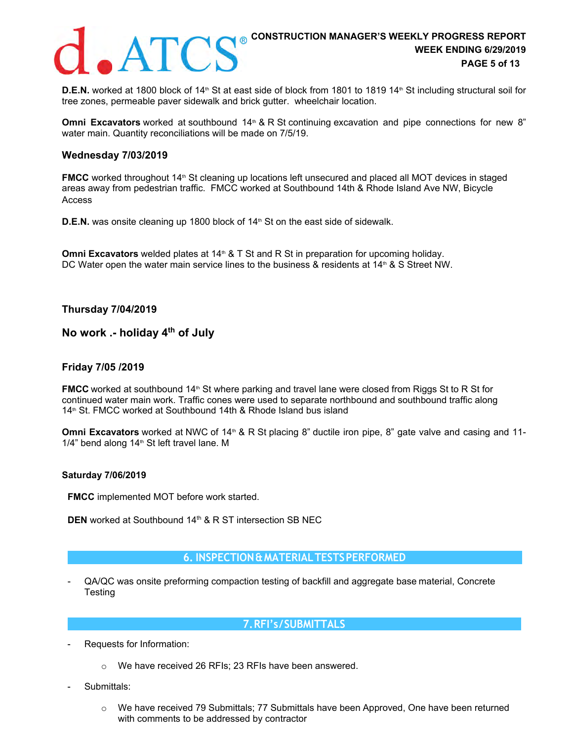

**D.E.N.** worked at 1800 block of 14<sup>th</sup> St at east side of block from 1801 to 1819 14<sup>th</sup> St including structural soil for tree zones, permeable paver sidewalk and brick gutter. wheelchair location.

**Omni Excavators** worked at southbound 14<sup>th</sup> & R St continuing excavation and pipe connections for new 8" water main. Quantity reconciliations will be made on 7/5/19.

#### **Wednesday 7/03/2019**

**FMCC** worked throughout 14<sup>th</sup> St cleaning up locations left unsecured and placed all MOT devices in staged areas away from pedestrian traffic. FMCC worked at Southbound 14th & Rhode Island Ave NW, Bicycle Access

**D.E.N.** was onsite cleaning up 1800 block of 14<sup>th</sup> St on the east side of sidewalk.

**Omni Excavators** welded plates at 14<sup>th</sup> & T St and R St in preparation for upcoming holiday. DC Water open the water main service lines to the business & residents at 14<sup>th</sup> & S Street NW.

**Thursday 7/04/2019** 

### **No work .- holiday 4th of July**

#### **Friday 7/05 /2019**

**FMCC** worked at southbound 14<sup>th</sup> St where parking and travel lane were closed from Riggs St to R St for continued water main work. Traffic cones were used to separate northbound and southbound traffic along 14<sup>th</sup> St. FMCC worked at Southbound 14th & Rhode Island bus island

**Omni Excavators** worked at NWC of 14<sup>th</sup> & R St placing 8" ductile iron pipe, 8" gate valve and casing and 11- $1/4$ " bend along  $14<sup>th</sup>$  St left travel lane. M

#### **Saturday 7/06/2019**

**FMCC** implemented MOT before work started.

**DEN** worked at Southbound 14<sup>th</sup> & R ST intersection SB NEC

#### **6. INSPECTION & MATERIAL TESTS PERFORMED**

- QA/QC was onsite preforming compaction testing of backfill and aggregate base material, Concrete Testing

#### **7. RFI's / SUBMITTALS**

- Requests for Information:
	- o We have received 26 RFIs; 23 RFIs have been answered.
- Submittals:
	- o We have received 79 Submittals; 77 Submittals have been Approved, One have been returned with comments to be addressed by contractor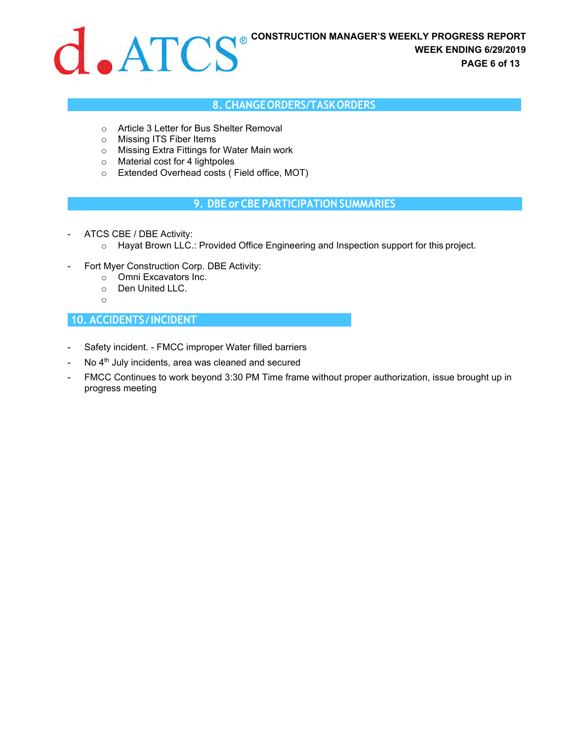

#### **8. CHANGE ORDERS/TASK ORDERS**

- o Article 3 Letter for Bus Shelter Removal
- o Missing ITS Fiber Items
- o Missing Extra Fittings for Water Main work
- o Material cost for 4 lightpoles
- o Extended Overhead costs ( Field office, MOT)

#### **9. DBE or CBE PARTICIPATION SUMMARIES**

- ATCS CBE / DBE Activity:
	- o Hayat Brown LLC.: Provided Office Engineering and Inspection support for this project.
- Fort Myer Construction Corp. DBE Activity:
	- o Omni Excavators Inc.
	- o Den United LLC.
	- o

### **10. ACCIDENTS / INCIDENT**

- Safety incident. FMCC improper Water filled barriers
- No 4<sup>th</sup> July incidents, area was cleaned and secured
- FMCC Continues to work beyond 3:30 PM Time frame without proper authorization, issue brought up in progress meeting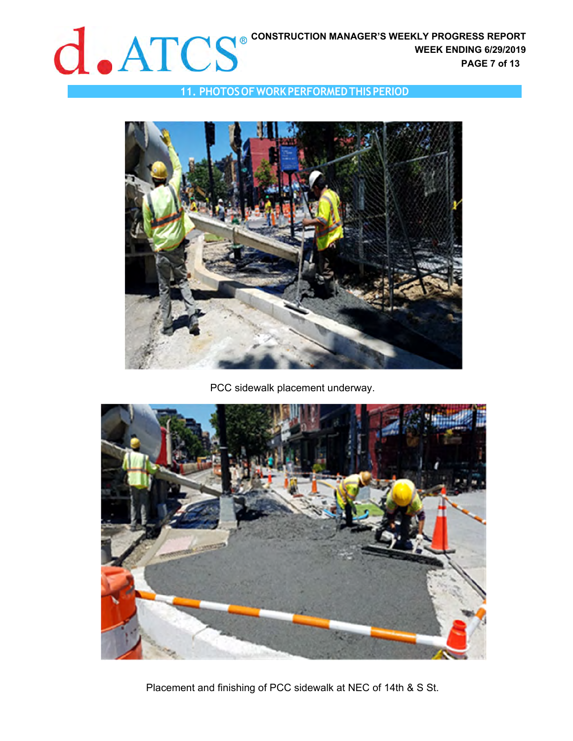

## **11. PHOTOS OF WORK PERFORMED THIS PERIOD**



## PCC sidewalk placement underway.



Placement and finishing of PCC sidewalk at NEC of 14th & S St.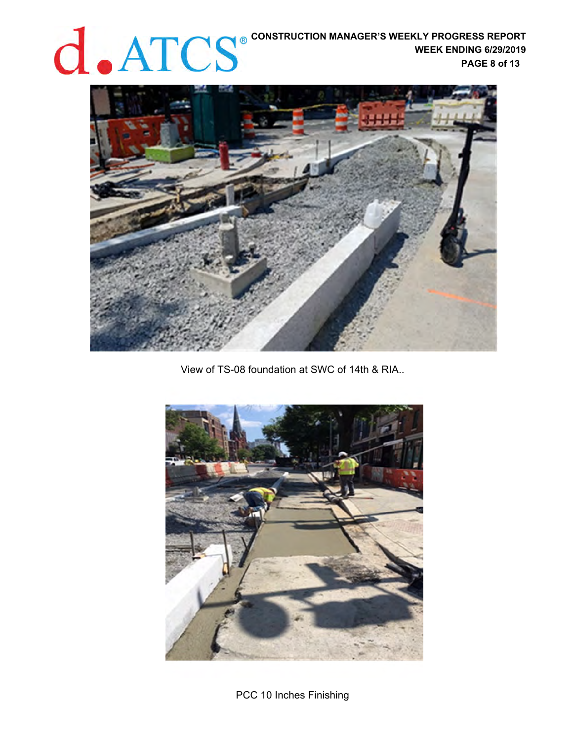# **CONSTRUCTION MANAGER'S WEEKLY PROGRESS REPORT WEEK ENDING 6/29/2019 PAGE 8 of 13**



View of TS-08 foundation at SWC of 14th & RIA..



PCC 10 Inches Finishing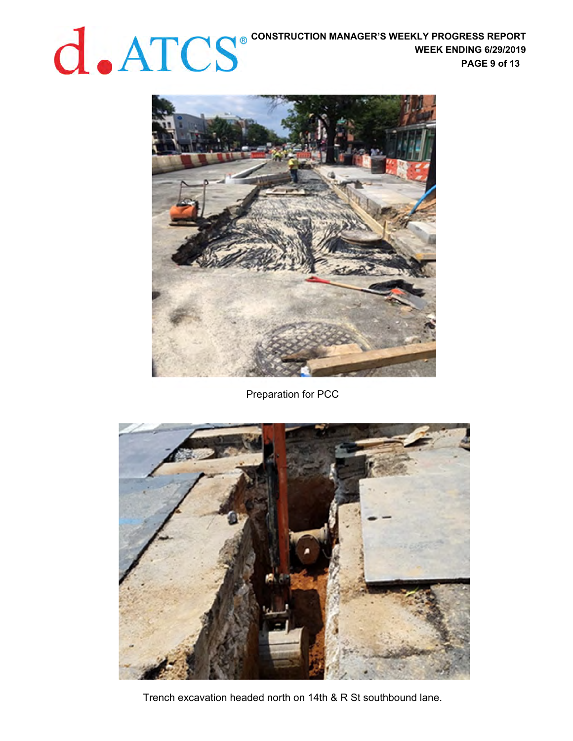**CONSTRUCTION MANAGER'S WEEKLY PROGRESS REPORT WEEK ENDING 6/29/2019 PAGE 9 of 13** 



Preparation for PCC

![](_page_8_Picture_4.jpeg)

Trench excavation headed north on 14th & R St southbound lane.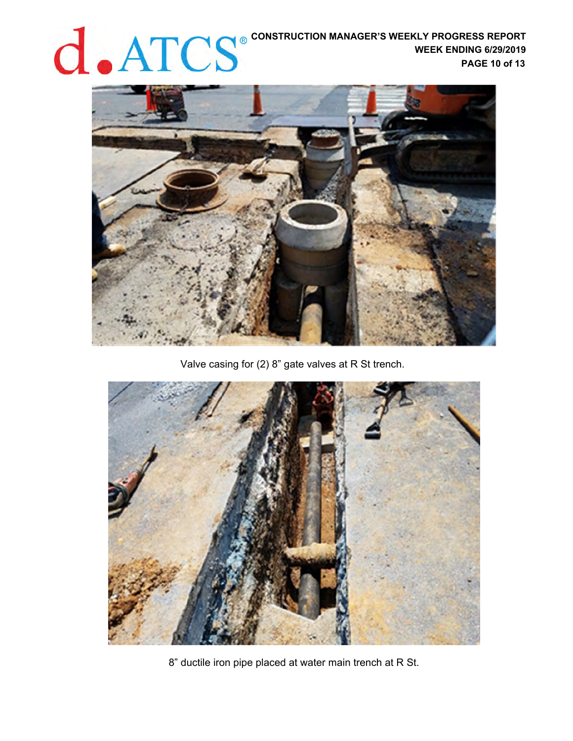# **CONSTRUCTION MANAGER'S WEEKLY PROGRESS REPORT WEEK ENDING 6/29/2019 PAGE 10 of 13**

![](_page_9_Picture_1.jpeg)

Valve casing for (2) 8" gate valves at R St trench.

![](_page_9_Picture_3.jpeg)

8" ductile iron pipe placed at water main trench at R St.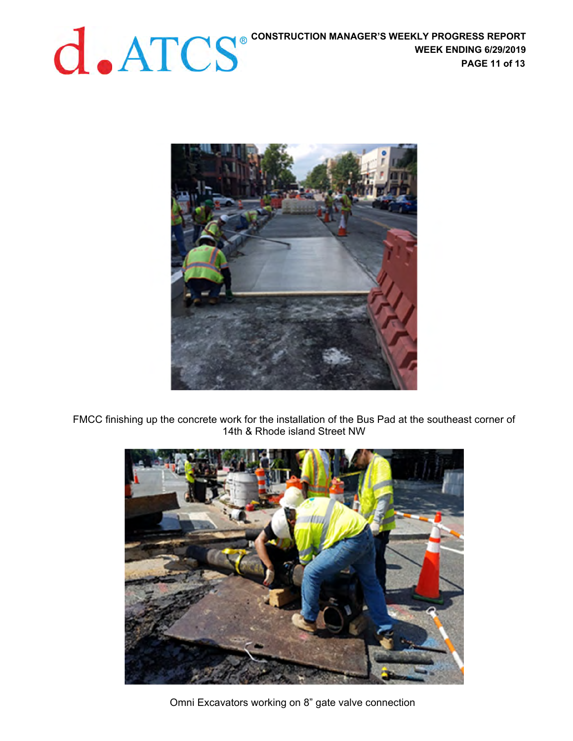![](_page_10_Picture_2.jpeg)

FMCC finishing up the concrete work for the installation of the Bus Pad at the southeast corner of 14th & Rhode island Street NW

![](_page_10_Picture_4.jpeg)

Omni Excavators working on 8" gate valve connection